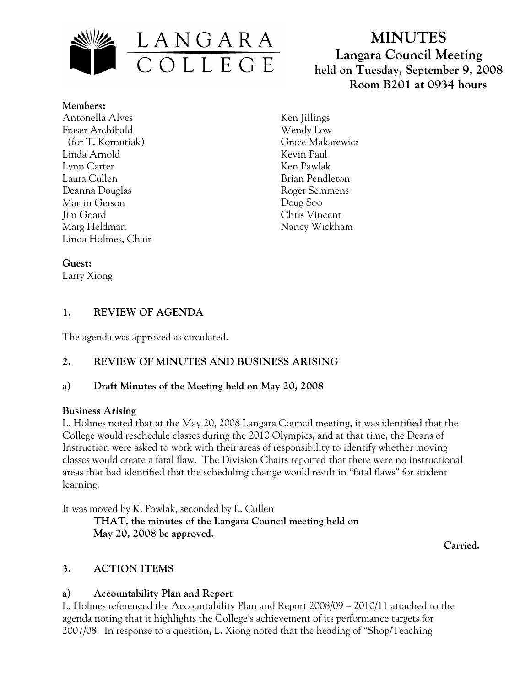

# **MINUTES Langara Council Meeting held on Tuesday, September 9, 2008 Room B201 at 0934 hours**

**Members:** Antonella Alves Fraser Archibald (for T. Kornutiak) Linda Arnold Lynn Carter Laura Cullen Deanna Douglas Martin Gerson Jim Goard Marg Heldman Linda Holmes, Chair

Ken Jillings Wendy Low Grace Makarewicz Kevin Paul Ken Pawlak Brian Pendleton Roger Semmens Doug Soo Chris Vincent Nancy Wickham

#### **Guest:**

Larry Xiong

# **1. REVIEW OF AGENDA**

The agenda was approved as circulated.

# **2. REVIEW OF MINUTES AND BUSINESS ARISING**

# **a) Draft Minutes of the Meeting held on May 20, 2008**

#### **Business Arising**

L. Holmes noted that at the May 20, 2008 Langara Council meeting, it was identified that the College would reschedule classes during the 2010 Olympics, and at that time, the Deans of Instruction were asked to work with their areas of responsibility to identify whether moving classes would create a fatal flaw. The Division Chairs reported that there were no instructional areas that had identified that the scheduling change would result in "fatal flaws" for student learning.

It was moved by K. Pawlak, seconded by L. Cullen

 **THAT, the minutes of the Langara Council meeting held on May 20, 2008 be approved.** 

 **Carried.** 

# **3. ACTION ITEMS**

# **a) Accountability Plan and Report**

L. Holmes referenced the Accountability Plan and Report 2008/09 – 2010/11 attached to the agenda noting that it highlights the College's achievement of its performance targets for 2007/08. In response to a question, L. Xiong noted that the heading of "Shop/Teaching